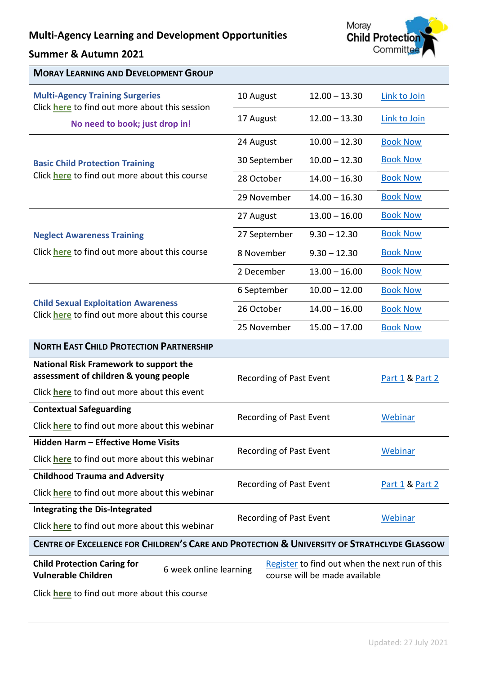# **Multi-Agency Learning and Development Opportunities**

## **Summer & Autumn 2021**



| <b>MORAY LEARNING AND DEVELOPMENT GROUP</b>                                                            |                        |                                |  |                               |                                                |
|--------------------------------------------------------------------------------------------------------|------------------------|--------------------------------|--|-------------------------------|------------------------------------------------|
| <b>Multi-Agency Training Surgeries</b><br>Click here to find out more about this session               |                        | 10 August                      |  | $12.00 - 13.30$               | Link to Join                                   |
| No need to book; just drop in!                                                                         |                        | 17 August                      |  | $12.00 - 13.30$               | Link to Join                                   |
|                                                                                                        |                        | 24 August                      |  | $10.00 - 12.30$               | <b>Book Now</b>                                |
| <b>Basic Child Protection Training</b><br>Click here to find out more about this course                |                        | 30 September                   |  | $10.00 - 12.30$               | <b>Book Now</b>                                |
|                                                                                                        |                        | 28 October                     |  | $14.00 - 16.30$               | <b>Book Now</b>                                |
|                                                                                                        |                        | 29 November                    |  | $14.00 - 16.30$               | <b>Book Now</b>                                |
|                                                                                                        |                        | 27 August                      |  | $13.00 - 16.00$               | <b>Book Now</b>                                |
| <b>Neglect Awareness Training</b>                                                                      |                        | 27 September                   |  | $9.30 - 12.30$                | <b>Book Now</b>                                |
| Click here to find out more about this course                                                          |                        | 8 November                     |  | $9.30 - 12.30$                | <b>Book Now</b>                                |
|                                                                                                        |                        | 2 December                     |  | $13.00 - 16.00$               | <b>Book Now</b>                                |
|                                                                                                        |                        | 6 September                    |  | $10.00 - 12.00$               | <b>Book Now</b>                                |
| <b>Child Sexual Exploitation Awareness</b><br>Click here to find out more about this course            |                        | 26 October                     |  | $14.00 - 16.00$               | <b>Book Now</b>                                |
|                                                                                                        |                        | 25 November                    |  | $15.00 - 17.00$               | <b>Book Now</b>                                |
| <b>NORTH EAST CHILD PROTECTION PARTNERSHIP</b>                                                         |                        |                                |  |                               |                                                |
| National Risk Framework to support the                                                                 |                        | <b>Recording of Past Event</b> |  | Part 1 & Part 2               |                                                |
| assessment of children & young people                                                                  |                        |                                |  |                               |                                                |
|                                                                                                        |                        |                                |  |                               |                                                |
| Click here to find out more about this event                                                           |                        |                                |  |                               |                                                |
| <b>Contextual Safeguarding</b>                                                                         |                        | Recording of Past Event        |  |                               | Webinar                                        |
| Click <b>here</b> to find out more about this webinar                                                  |                        |                                |  |                               |                                                |
| Hidden Harm - Effective Home Visits<br>Click here to find out more about this webinar                  |                        | <b>Recording of Past Event</b> |  |                               | Webinar                                        |
| <b>Childhood Trauma and Adversity</b>                                                                  |                        |                                |  |                               |                                                |
| Click here to find out more about this webinar                                                         |                        | <b>Recording of Past Event</b> |  |                               | <b>Part 1 &amp; Part 2</b>                     |
| <b>Integrating the Dis-Integrated</b>                                                                  |                        |                                |  |                               |                                                |
| Click here to find out more about this webinar                                                         |                        | <b>Recording of Past Event</b> |  |                               | Webinar                                        |
| <b>CENTRE OF EXCELLENCE FOR CHILDREN'S CARE AND PROTECTION &amp; UNIVERSITY OF STRATHCLYDE GLASGOW</b> |                        |                                |  |                               |                                                |
| <b>Child Protection Caring for</b><br><b>Vulnerable Children</b>                                       | 6 week online learning |                                |  | course will be made available | Register to find out when the next run of this |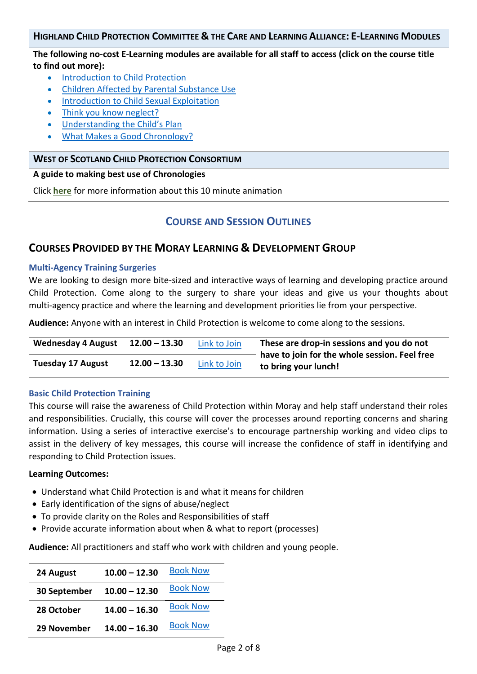#### HIGHLAND CHILD PROTECTION COMMITTEE & THE CARE AND LEARNING ALLIANCE: E-LEARNING MODULES

#### **The following no-cost E-Learning modules are available for all staff to access (click on the course title to find out more):**

- Introduction to Child Protection
- [Children Affected by Parental Substance Use](#page-5-0)
- **•** [Introduction to Child Sexual Exploitation](#page-5-1)
- [Think you know neglect?](#page-5-2)
- [Understanding the Child's Plan](#page-6-0)
- [What Makes a Good Chronology?](#page-6-1)

#### **WEST OF SCOTLAND CHILD PROTECTION CONSORTIUM**

#### **[A guide to making best use of Chronologies](https://www.youtube.com/watch?v=ExDabIlghzk&feature=youtu.be)**

Click **[here](#page-6-2)** for more information about this 10 minute animation

## **COURSE AND SESSION OUTLINES**

## **COURSES PROVIDED BY THE MORAY LEARNING & DEVELOPMENT GROUP**

#### <span id="page-1-0"></span>**Multi-Agency Training Surgeries**

We are looking to design more bite-sized and interactive ways of learning and developing practice around Child Protection. Come along to the surgery to share your ideas and give us your thoughts about multi-agency practice and where the learning and development priorities lie from your perspective.

**Audience:** Anyone with an interest in Child Protection is welcome to come along to the sessions.

| <b>Wednesday 4 August</b> | $12.00 - 13.30$ | Link to Join | These are drop-in sessions and you do not<br>have to join for the whole session. Feel free |  |
|---------------------------|-----------------|--------------|--------------------------------------------------------------------------------------------|--|
| <b>Tuesday 17 August</b>  | $12.00 - 13.30$ | Link to Join | to bring your lunch!                                                                       |  |

#### <span id="page-1-1"></span>**Basic Child Protection Training**

This course will raise the awareness of Child Protection within Moray and help staff understand their roles and responsibilities. Crucially, this course will cover the processes around reporting concerns and sharing information. Using a series of interactive exercise's to encourage partnership working and video clips to assist in the delivery of key messages, this course will increase the confidence of staff in identifying and responding to Child Protection issues.

#### **Learning Outcomes:**

- Understand what Child Protection is and what it means for children
- Early identification of the signs of abuse/neglect
- To provide clarity on the Roles and Responsibilities of staff
- Provide accurate information about when & what to report (processes)

**Audience:** All practitioners and staff who work with children and young people.

| 24 August                  | $10.00 - 12.30$ | <b>Book Now</b> |
|----------------------------|-----------------|-----------------|
| 30 September 10.00 - 12.30 |                 | <b>Book Now</b> |
| 28 October                 | $14.00 - 16.30$ | <b>Book Now</b> |
| 29 November                | $14.00 - 16.30$ | <b>Book Now</b> |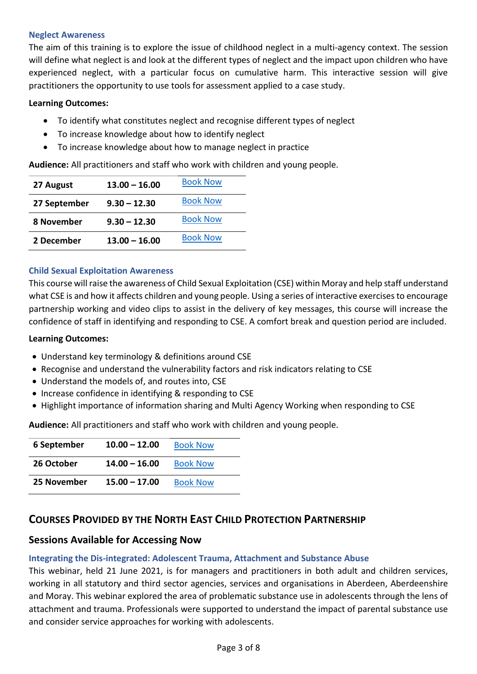#### <span id="page-2-0"></span>**Neglect Awareness**

The aim of this training is to explore the issue of childhood neglect in a multi-agency context. The session will define what neglect is and look at the different types of neglect and the impact upon children who have experienced neglect, with a particular focus on cumulative harm. This interactive session will give practitioners the opportunity to use tools for assessment applied to a case study.

#### **Learning Outcomes:**

- To identify what constitutes neglect and recognise different types of neglect
- To increase knowledge about how to identify neglect
- To increase knowledge about how to manage neglect in practice

**Audience:** All practitioners and staff who work with children and young people.

| 27 August    | $13.00 - 16.00$ | <b>Book Now</b> |
|--------------|-----------------|-----------------|
| 27 September | $9.30 - 12.30$  | <b>Book Now</b> |
| 8 November   | $9.30 - 12.30$  | <b>Book Now</b> |
| 2 December   | $13.00 - 16.00$ | <b>Book Now</b> |

#### <span id="page-2-1"></span>**Child Sexual Exploitation Awareness**

This course will raise the awareness of Child Sexual Exploitation (CSE) within Moray and help staff understand what CSE is and how it affects children and young people. Using a series of interactive exercises to encourage partnership working and video clips to assist in the delivery of key messages, this course will increase the confidence of staff in identifying and responding to CSE. A comfort break and question period are included.

#### **Learning Outcomes:**

- Understand key terminology & definitions around CSE
- Recognise and understand the vulnerability factors and risk indicators relating to CSE
- Understand the models of, and routes into, CSE
- Increase confidence in identifying & responding to CSE
- Highlight importance of information sharing and Multi Agency Working when responding to CSE

**Audience:** All practitioners and staff who work with children and young people.

| 6 September | $10.00 - 12.00$ | <b>Book Now</b> |
|-------------|-----------------|-----------------|
| 26 October  | $14.00 - 16.00$ | <b>Book Now</b> |
| 25 November | $15.00 - 17.00$ | <b>Book Now</b> |

## **COURSES PROVIDED BY THE NORTH EAST CHILD PROTECTION PARTNERSHIP**

## **Sessions Available for Accessing Now**

### <span id="page-2-2"></span>**Integrating the Dis-integrated: Adolescent Trauma, Attachment and Substance Abuse**

This webinar, held 21 June 2021, is for managers and practitioners in both adult and children services, working in all statutory and third sector agencies, services and organisations in Aberdeen, Aberdeenshire and Moray. This webinar explored the area of problematic substance use in adolescents through the lens of attachment and trauma. Professionals were supported to understand the impact of parental substance use and consider service approaches for working with adolescents.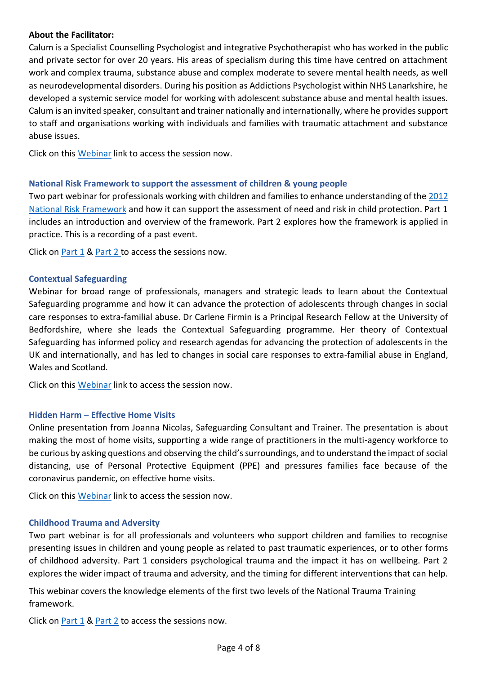#### **About the Facilitator:**

Calum is a Specialist Counselling Psychologist and integrative Psychotherapist who has worked in the public and private sector for over 20 years. His areas of specialism during this time have centred on attachment work and complex trauma, substance abuse and complex moderate to severe mental health needs, as well as neurodevelopmental disorders. During his position as Addictions Psychologist within NHS Lanarkshire, he developed a systemic service model for working with adolescent substance abuse and mental health issues. Calum is an invited speaker, consultant and trainer nationally and internationally, where he provides support to staff and organisations working with individuals and families with traumatic attachment and substance abuse issues.

Click on this [Webinar](https://youtu.be/IrCWSJmVNLk) link to access the session now.

#### <span id="page-3-0"></span>**National Risk Framework to support the assessment of children & young people**

Two part webinar for professionals working with children and families to enhance understanding of the [2012](https://www.gov.scot/publications/national-risk-framework-support-assessment-children-young-people/)  [National Risk Framework](https://www.gov.scot/publications/national-risk-framework-support-assessment-children-young-people/) and how it can support the assessment of need and risk in child protection. Part 1 includes an introduction and overview of the framework. Part 2 explores how the framework is applied in practice. This is a recording of a past event.

Click on [Part 1](https://youtu.be/WmAs98pt5kk) & [Part 2](https://youtu.be/fgY4Wk9QRv4) to access the sessions now.

#### <span id="page-3-1"></span>**Contextual Safeguarding**

Webinar for broad range of professionals, managers and strategic leads to learn about the Contextual Safeguarding programme and how it can advance the protection of adolescents through changes in social care responses to extra-familial abuse. Dr Carlene Firmin is a Principal Research Fellow at the University of Bedfordshire, where she leads the Contextual Safeguarding programme. Her theory of Contextual Safeguarding has informed policy and research agendas for advancing the protection of adolescents in the UK and internationally, and has led to changes in social care responses to extra-familial abuse in England, Wales and Scotland.

Click on this [Webinar](https://www.youtube.com/watch?v=wIaHqSENpdQ) link to access the session now.

#### <span id="page-3-2"></span>**Hidden Harm – Effective Home Visits**

Online presentation from Joanna Nicolas, Safeguarding Consultant and Trainer. The presentation is about making the most of home visits, supporting a wide range of practitioners in the multi-agency workforce to be curious by asking questions and observing the child's surroundings, and to understand the impact of social distancing, use of Personal Protective Equipment (PPE) and pressures families face because of the coronavirus pandemic, on effective home visits.

Click on this [Webinar](http://www.childprotectionpartnership.org.uk/home/effective-home-visits.aspx) link to access the session now.

#### <span id="page-3-3"></span>**Childhood Trauma and Adversity**

Two part webinar is for all professionals and volunteers who support children and families to recognise presenting issues in children and young people as related to past traumatic experiences, or to other forms of childhood adversity. Part 1 considers psychological trauma and the impact it has on wellbeing. Part 2 explores the wider impact of trauma and adversity, and the timing for different interventions that can help.

This webinar covers the knowledge elements of the first two levels of the National Trauma Training framework.

Click on [Part 1](http://www.childprotectionpartnership.org.uk/home/Childhood_Trauma_and_Adversity.aspx) & [Part 2](http://www.childprotectionpartnership.org.uk/home/Childhood_Trauma_and_Adversity_Part_2.aspx) to access the sessions now.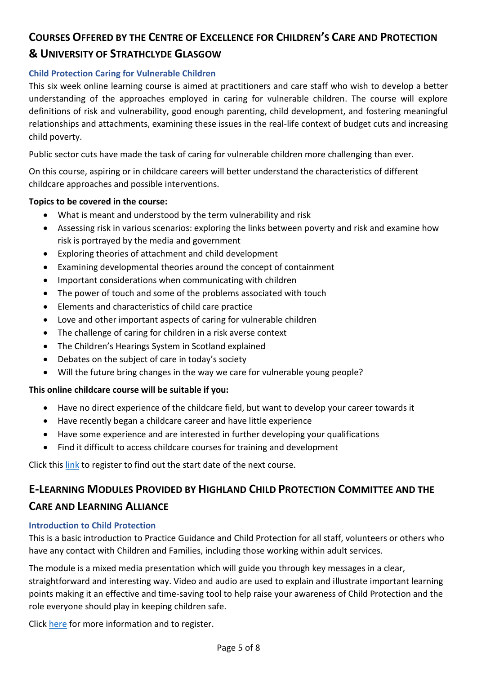## **COURSES OFFERED BY THE CENTRE OF EXCELLENCE FOR CHILDREN'S CARE AND PROTECTION**

## **& UNIVERSITY OF STRATHCLYDE GLASGOW**

## <span id="page-4-0"></span>**Child Protection Caring for Vulnerable Children**

This six week online learning course is aimed at practitioners and care staff who wish to develop a better understanding of the approaches employed in caring for vulnerable children. The course will explore definitions of risk and vulnerability, good enough parenting, child development, and fostering meaningful relationships and attachments, examining these issues in the real-life context of budget cuts and increasing child poverty.

Public sector cuts have made the task of caring for vulnerable children more challenging than ever.

On this course, aspiring or in childcare careers will better understand the characteristics of different childcare approaches and possible interventions.

### **Topics to be covered in the course:**

- What is meant and understood by the term vulnerability and risk
- Assessing risk in various scenarios: exploring the links between poverty and risk and examine how risk is portrayed by the media and government
- Exploring theories of attachment and child development
- Examining developmental theories around the concept of containment
- Important considerations when communicating with children
- The power of touch and some of the problems associated with touch
- Elements and characteristics of child care practice
- Love and other important aspects of caring for vulnerable children
- The challenge of caring for children in a risk averse context
- The Children's Hearings System in Scotland explained
- Debates on the subject of care in today's society
- Will the future bring changes in the way we care for vulnerable young people?

### **This online childcare course will be suitable if you:**

- Have no direct experience of the childcare field, but want to develop your career towards it
- Have recently began a childcare career and have little experience
- Have some experience and are interested in further developing your qualifications
- Find it difficult to access childcare courses for training and development

[Click](https://www.futurelearn.com/courses/vulnerable-children) this [link](https://www.futurelearn.com/courses/vulnerable-children) to register to find out the start date of the next course.

## **E-LEARNING MODULES PROVIDED BY HIGHLAND CHILD PROTECTION COMMITTEE AND THE CARE AND LEARNING ALLIANCE**

### <span id="page-4-1"></span>**Introduction to Child Protection**

This is a basic introduction to Practice Guidance and Child Protection for all staff, volunteers or others who have any contact with Children and Families, including those working within adult services.

The module is a mixed media presentation which will guide you through key messages in a clear, straightforward and interesting way. Video and audio are used to explain and illustrate important learning points making it an effective and time-saving tool to help raise your awareness of Child Protection and the role everyone should play in keeping children safe.

Click [here](https://calaelearning.co.uk/product/introduction-to-child-protection/) for more information and to register.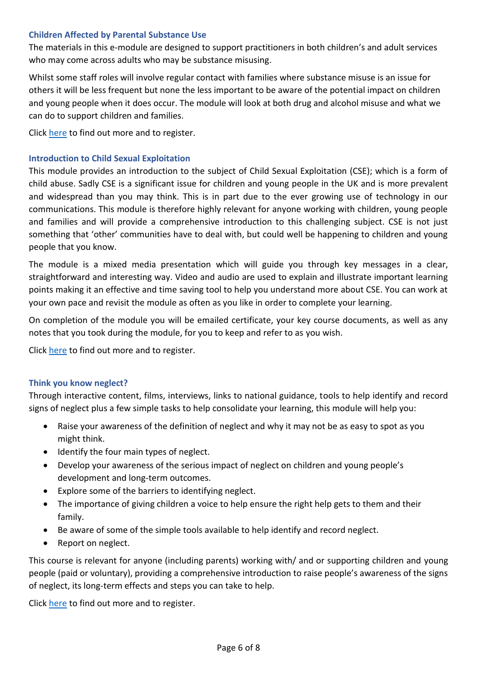#### <span id="page-5-0"></span>**Children Affected by Parental Substance Use**

The materials in this e-module are designed to support practitioners in both children's and adult services who may come across adults who may be substance misusing.

Whilst some staff roles will involve regular contact with families where substance misuse is an issue for others it will be less frequent but none the less important to be aware of the potential impact on children and young people when it does occur. The module will look at both drug and alcohol misuse and what we can do to support children and families.

Click [here](https://calaelearning.co.uk/product/children-affected-by-parental-substance-misuse/) to find out more and to register.

#### <span id="page-5-1"></span>**Introduction to Child Sexual Exploitation**

This module provides an introduction to the subject of Child Sexual Exploitation (CSE); which is a form of child abuse. Sadly CSE is a significant issue for children and young people in the UK and is more prevalent and widespread than you may think. This is in part due to the ever growing use of technology in our communications. This module is therefore highly relevant for anyone working with children, young people and families and will provide a comprehensive introduction to this challenging subject. CSE is not just something that 'other' communities have to deal with, but could well be happening to children and young people that you know.

The module is a mixed media presentation which will guide you through key messages in a clear, straightforward and interesting way. Video and audio are used to explain and illustrate important learning points making it an effective and time saving tool to help you understand more about CSE. You can work at your own pace and revisit the module as often as you like in order to complete your learning.

On completion of the module you will be emailed certificate, your key course documents, as well as any notes that you took during the module, for you to keep and refer to as you wish.

Click [here](https://calaelearning.co.uk/product/introduction-to-child-sexual-exploitation/) to find out more and to register.

#### <span id="page-5-2"></span>**Think you know neglect?**

Through interactive content, films, interviews, links to national guidance, tools to help identify and record signs of neglect plus a few simple tasks to help consolidate your learning, this module will help you:

- Raise your awareness of the definition of neglect and why it may not be as easy to spot as you might think.
- Identify the four main types of neglect.
- Develop your awareness of the serious impact of neglect on children and young people's development and long-term outcomes.
- Explore some of the barriers to identifying neglect.
- The importance of giving children a voice to help ensure the right help gets to them and their family.
- Be aware of some of the simple tools available to help identify and record neglect.
- Report on neglect.

This course is relevant for anyone (including parents) working with/ and or supporting children and young people (paid or voluntary), providing a comprehensive introduction to raise people's awareness of the signs of neglect, its long-term effects and steps you can take to help.

Click [here](https://calaelearning.co.uk/product/think-you-know-neglect/) to find out more and to register.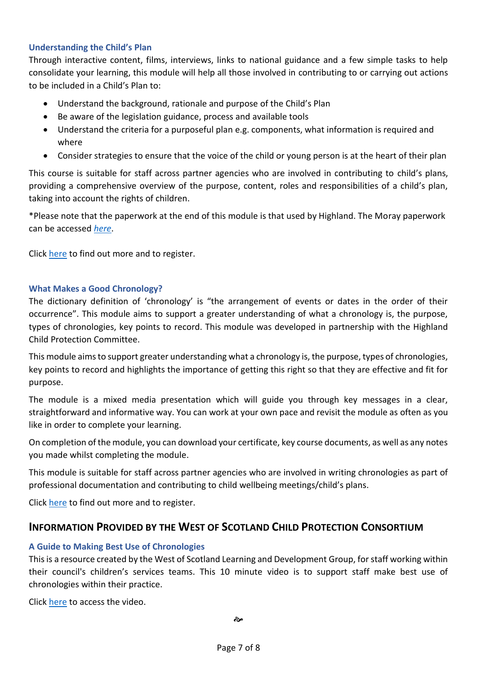#### <span id="page-6-0"></span>**Understanding the Child's Plan**

Through interactive content, films, interviews, links to national guidance and a few simple tasks to help consolidate your learning, this module will help all those involved in contributing to or carrying out actions to be included in a Child's Plan to:

- Understand the background, rationale and purpose of the Child's Plan
- Be aware of the legislation guidance, process and available tools
- Understand the criteria for a purposeful plan e.g. components, what information is required and where
- Consider strategies to ensure that the voice of the child or young person is at the heart of their plan

This course is suitable for staff across partner agencies who are involved in contributing to child's plans, providing a comprehensive overview of the purpose, content, roles and responsibilities of a child's plan, taking into account the rights of children.

\*Please note that the paperwork at the end of this module is that used by Highland. The Moray paperwork can be accessed *[here](http://www.moray.gov.uk/moray_standard/page_115508.html)*.

Click [here](https://calaelearning.co.uk/product/understanding-the-childs-plan/) to find out more and to register.

#### <span id="page-6-1"></span>**What Makes a Good Chronology?**

The dictionary definition of 'chronology' is "the arrangement of events or dates in the order of their occurrence". This module aims to support a greater understanding of what a chronology is, the purpose, types of chronologies, key points to record. This module was developed in partnership with the Highland Child Protection Committee.

This module aims to support greater understanding what a chronology is, the purpose, types of chronologies, key points to record and highlights the importance of getting this right so that they are effective and fit for purpose.

The module is a mixed media presentation which will guide you through key messages in a clear, straightforward and informative way. You can work at your own pace and revisit the module as often as you like in order to complete your learning.

On completion of the module, you can download your certificate, key course documents, as well as any notes you made whilst completing the module.

This module is suitable for staff across partner agencies who are involved in writing chronologies as part of professional documentation and contributing to child wellbeing meetings/child's plans.

Click [here](https://calaelearning.co.uk/product/what-makes-a-good-chronology/) to find out more and to register.

## **INFORMATION PROVIDED BY THE WEST OF SCOTLAND CHILD PROTECTION CONSORTIUM**

### <span id="page-6-2"></span>**A Guide to Making Best Use of Chronologies**

This is a resource created by the West of Scotland Learning and Development Group, for staff working within their council's children's services teams. This 10 minute video is to support staff make best use of chronologies within their practice.

Click [here](https://www.youtube.com/watch?v=ExDabIlghzk) to access the video.